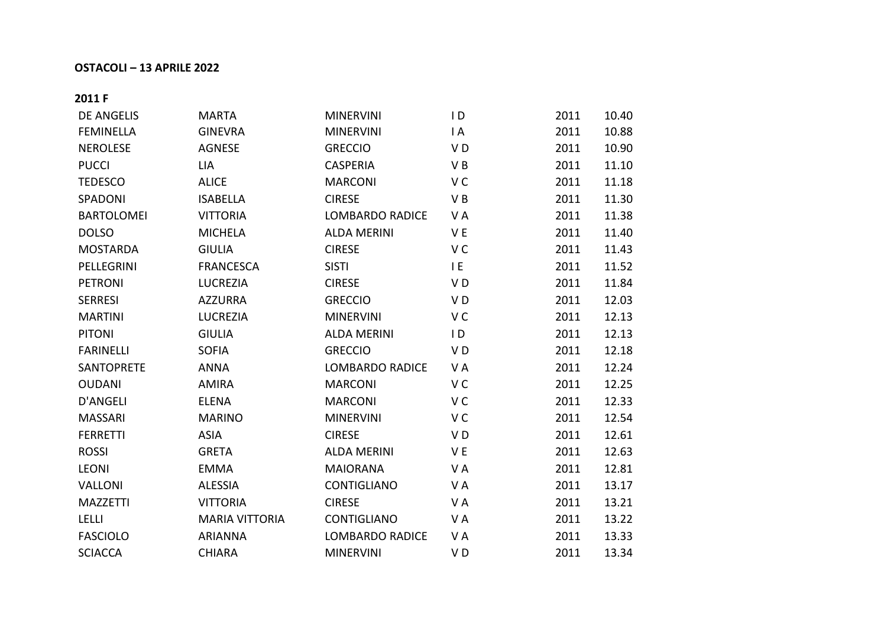## **OSTACOLI – 13 APRILE 2022**

**2011 F**

| <b>DE ANGELIS</b> | <b>MARTA</b>          | <b>MINERVINI</b>       | $\mathsf{I}$   | 2011 | 10.40 |
|-------------------|-----------------------|------------------------|----------------|------|-------|
| <b>FEMINELLA</b>  | <b>GINEVRA</b>        | <b>MINERVINI</b>       | $\mathsf{I}$ A | 2011 | 10.88 |
| <b>NEROLESE</b>   | <b>AGNESE</b>         | <b>GRECCIO</b>         | VD             | 2011 | 10.90 |
| <b>PUCCI</b>      | <b>LIA</b>            | <b>CASPERIA</b>        | VB             | 2011 | 11.10 |
| <b>TEDESCO</b>    | <b>ALICE</b>          | <b>MARCONI</b>         | V <sub>C</sub> | 2011 | 11.18 |
| SPADONI           | <b>ISABELLA</b>       | <b>CIRESE</b>          | VB             | 2011 | 11.30 |
| <b>BARTOLOMEI</b> | <b>VITTORIA</b>       | <b>LOMBARDO RADICE</b> | VA             | 2011 | 11.38 |
| <b>DOLSO</b>      | <b>MICHELA</b>        | <b>ALDA MERINI</b>     | V <sub>E</sub> | 2011 | 11.40 |
| <b>MOSTARDA</b>   | <b>GIULIA</b>         | <b>CIRESE</b>          | V C            | 2011 | 11.43 |
| PELLEGRINI        | <b>FRANCESCA</b>      | <b>SISTI</b>           | I E            | 2011 | 11.52 |
| <b>PETRONI</b>    | <b>LUCREZIA</b>       | <b>CIRESE</b>          | VD             | 2011 | 11.84 |
| <b>SERRESI</b>    | <b>AZZURRA</b>        | <b>GRECCIO</b>         | V <sub>D</sub> | 2011 | 12.03 |
| <b>MARTINI</b>    | <b>LUCREZIA</b>       | <b>MINERVINI</b>       | V C            | 2011 | 12.13 |
| <b>PITONI</b>     | <b>GIULIA</b>         | <b>ALDA MERINI</b>     | $\overline{D}$ | 2011 | 12.13 |
| <b>FARINELLI</b>  | <b>SOFIA</b>          | <b>GRECCIO</b>         | VD             | 2011 | 12.18 |
| <b>SANTOPRETE</b> | <b>ANNA</b>           | <b>LOMBARDO RADICE</b> | VA             | 2011 | 12.24 |
| <b>OUDANI</b>     | <b>AMIRA</b>          | <b>MARCONI</b>         | V <sub>C</sub> | 2011 | 12.25 |
| D'ANGELI          | <b>ELENA</b>          | <b>MARCONI</b>         | V <sub>C</sub> | 2011 | 12.33 |
| <b>MASSARI</b>    | <b>MARINO</b>         | <b>MINERVINI</b>       | V C            | 2011 | 12.54 |
| <b>FERRETTI</b>   | <b>ASIA</b>           | <b>CIRESE</b>          | VD             | 2011 | 12.61 |
| <b>ROSSI</b>      | <b>GRETA</b>          | <b>ALDA MERINI</b>     | V <sub>E</sub> | 2011 | 12.63 |
| <b>LEONI</b>      | <b>EMMA</b>           | <b>MAIORANA</b>        | VA             | 2011 | 12.81 |
| <b>VALLONI</b>    | <b>ALESSIA</b>        | CONTIGLIANO            | V A            | 2011 | 13.17 |
| <b>MAZZETTI</b>   | <b>VITTORIA</b>       | <b>CIRESE</b>          | VA             | 2011 | 13.21 |
| <b>LELLI</b>      | <b>MARIA VITTORIA</b> | <b>CONTIGLIANO</b>     | VA             | 2011 | 13.22 |
| <b>FASCIOLO</b>   | <b>ARIANNA</b>        | <b>LOMBARDO RADICE</b> | VA             | 2011 | 13.33 |
| <b>SCIACCA</b>    | <b>CHIARA</b>         | <b>MINERVINI</b>       | VD             | 2011 | 13.34 |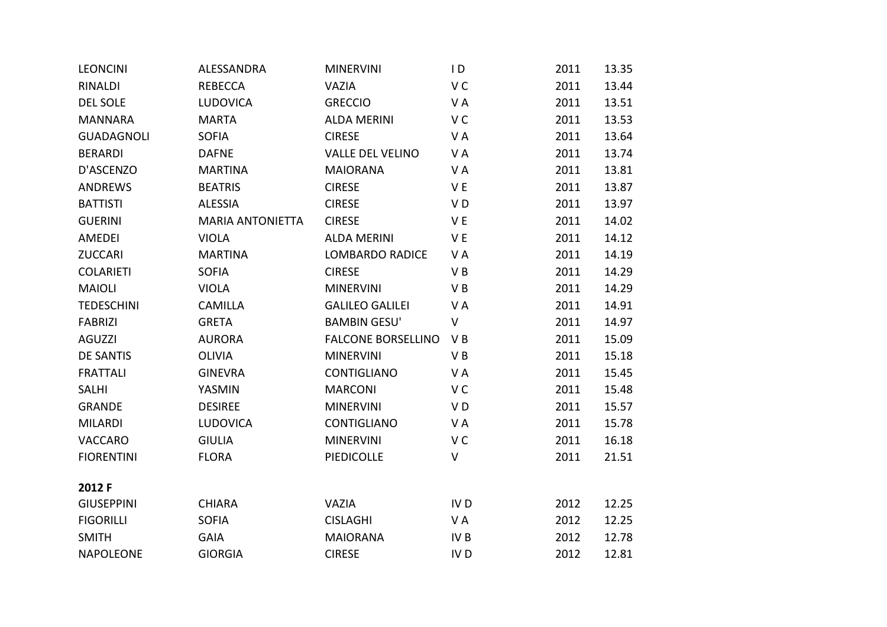| <b>LEONCINI</b>   | ALESSANDRA              | <b>MINERVINI</b>          | $\overline{D}$  | 2011 | 13.35 |
|-------------------|-------------------------|---------------------------|-----------------|------|-------|
| RINALDI           | <b>REBECCA</b>          | VAZIA                     | V C             | 2011 | 13.44 |
| <b>DEL SOLE</b>   | <b>LUDOVICA</b>         | <b>GRECCIO</b>            | VA              | 2011 | 13.51 |
| <b>MANNARA</b>    | <b>MARTA</b>            | <b>ALDA MERINI</b>        | V <sub>C</sub>  | 2011 | 13.53 |
| <b>GUADAGNOLI</b> | <b>SOFIA</b>            | <b>CIRESE</b>             | VA              | 2011 | 13.64 |
| <b>BERARDI</b>    | <b>DAFNE</b>            | <b>VALLE DEL VELINO</b>   | VA              | 2011 | 13.74 |
| D'ASCENZO         | <b>MARTINA</b>          | <b>MAIORANA</b>           | VA              | 2011 | 13.81 |
| <b>ANDREWS</b>    | <b>BEATRIS</b>          | <b>CIRESE</b>             | V E             | 2011 | 13.87 |
| <b>BATTISTI</b>   | <b>ALESSIA</b>          | <b>CIRESE</b>             | VD              | 2011 | 13.97 |
| <b>GUERINI</b>    | <b>MARIA ANTONIETTA</b> | <b>CIRESE</b>             | V E             | 2011 | 14.02 |
| AMEDEI            | <b>VIOLA</b>            | <b>ALDA MERINI</b>        | V E             | 2011 | 14.12 |
| <b>ZUCCARI</b>    | <b>MARTINA</b>          | <b>LOMBARDO RADICE</b>    | VA              | 2011 | 14.19 |
| <b>COLARIETI</b>  | <b>SOFIA</b>            | <b>CIRESE</b>             | VB              | 2011 | 14.29 |
| <b>MAIOLI</b>     | <b>VIOLA</b>            | <b>MINERVINI</b>          | VB              | 2011 | 14.29 |
| <b>TEDESCHINI</b> | <b>CAMILLA</b>          | <b>GALILEO GALILEI</b>    | VA              | 2011 | 14.91 |
| <b>FABRIZI</b>    | <b>GRETA</b>            | <b>BAMBIN GESU'</b>       | $\mathsf V$     | 2011 | 14.97 |
| <b>AGUZZI</b>     | <b>AURORA</b>           | <b>FALCONE BORSELLINO</b> | VB              | 2011 | 15.09 |
| <b>DE SANTIS</b>  | <b>OLIVIA</b>           | <b>MINERVINI</b>          | VB              | 2011 | 15.18 |
| <b>FRATTALI</b>   | <b>GINEVRA</b>          | CONTIGLIANO               | VA              | 2011 | 15.45 |
| <b>SALHI</b>      | YASMIN                  | <b>MARCONI</b>            | V <sub>C</sub>  | 2011 | 15.48 |
| <b>GRANDE</b>     | <b>DESIREE</b>          | <b>MINERVINI</b>          | VD              | 2011 | 15.57 |
| <b>MILARDI</b>    | <b>LUDOVICA</b>         | <b>CONTIGLIANO</b>        | VA              | 2011 | 15.78 |
| VACCARO           | <b>GIULIA</b>           | <b>MINERVINI</b>          | V <sub>C</sub>  | 2011 | 16.18 |
| <b>FIORENTINI</b> | <b>FLORA</b>            | <b>PIEDICOLLE</b>         | $\sf V$         | 2011 | 21.51 |
| 2012 F            |                         |                           |                 |      |       |
| <b>GIUSEPPINI</b> | <b>CHIARA</b>           | VAZIA                     | IV <sub>D</sub> | 2012 | 12.25 |
| <b>FIGORILLI</b>  | <b>SOFIA</b>            | <b>CISLAGHI</b>           | VA              | 2012 | 12.25 |
| <b>SMITH</b>      | <b>GAIA</b>             | <b>MAIORANA</b>           | IV <sub>B</sub> | 2012 | 12.78 |
| <b>NAPOLEONE</b>  | <b>GIORGIA</b>          | <b>CIRESE</b>             | IV <sub>D</sub> | 2012 | 12.81 |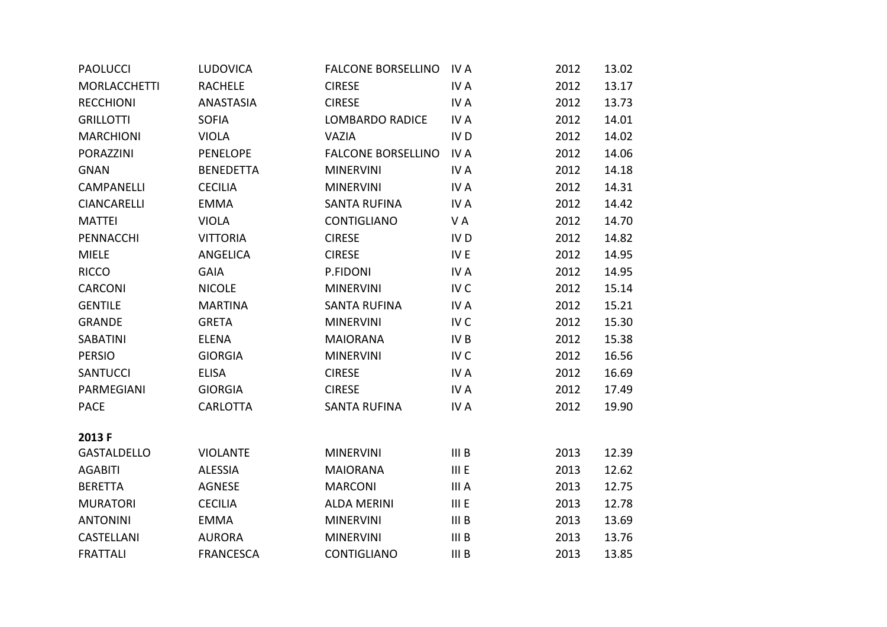| <b>PAOLUCCI</b>     | <b>LUDOVICA</b>  | <b>FALCONE BORSELLINO</b> | IV A             | 2012 | 13.02 |
|---------------------|------------------|---------------------------|------------------|------|-------|
| <b>MORLACCHETTI</b> | <b>RACHELE</b>   | <b>CIRESE</b>             | IV A             | 2012 | 13.17 |
| <b>RECCHIONI</b>    | <b>ANASTASIA</b> | <b>CIRESE</b>             | IV A             | 2012 | 13.73 |
| <b>GRILLOTTI</b>    | <b>SOFIA</b>     | <b>LOMBARDO RADICE</b>    | IV A             | 2012 | 14.01 |
| <b>MARCHIONI</b>    | <b>VIOLA</b>     | <b>VAZIA</b>              | IV <sub>D</sub>  | 2012 | 14.02 |
| <b>PORAZZINI</b>    | <b>PENELOPE</b>  | <b>FALCONE BORSELLINO</b> | IV A             | 2012 | 14.06 |
| <b>GNAN</b>         | <b>BENEDETTA</b> | <b>MINERVINI</b>          | IV A             | 2012 | 14.18 |
| <b>CAMPANELLI</b>   | <b>CECILIA</b>   | <b>MINERVINI</b>          | IV A             | 2012 | 14.31 |
| <b>CIANCARELLI</b>  | <b>EMMA</b>      | <b>SANTA RUFINA</b>       | IV A             | 2012 | 14.42 |
| <b>MATTEI</b>       | <b>VIOLA</b>     | <b>CONTIGLIANO</b>        | VA               | 2012 | 14.70 |
| PENNACCHI           | <b>VITTORIA</b>  | <b>CIRESE</b>             | IV <sub>D</sub>  | 2012 | 14.82 |
| <b>MIELE</b>        | <b>ANGELICA</b>  | <b>CIRESE</b>             | IV E             | 2012 | 14.95 |
| <b>RICCO</b>        | <b>GAIA</b>      | P.FIDONI                  | IV A             | 2012 | 14.95 |
| CARCONI             | <b>NICOLE</b>    | <b>MINERVINI</b>          | IV <sub>C</sub>  | 2012 | 15.14 |
| <b>GENTILE</b>      | <b>MARTINA</b>   | <b>SANTA RUFINA</b>       | IV A             | 2012 | 15.21 |
| <b>GRANDE</b>       | <b>GRETA</b>     | <b>MINERVINI</b>          | IV <sub>C</sub>  | 2012 | 15.30 |
| <b>SABATINI</b>     | <b>ELENA</b>     | <b>MAIORANA</b>           | IV <sub>B</sub>  | 2012 | 15.38 |
| <b>PERSIO</b>       | <b>GIORGIA</b>   | <b>MINERVINI</b>          | IV <sub>C</sub>  | 2012 | 16.56 |
| <b>SANTUCCI</b>     | <b>ELISA</b>     | <b>CIRESE</b>             | IV A             | 2012 | 16.69 |
| PARMEGIANI          | <b>GIORGIA</b>   | <b>CIRESE</b>             | IV A             | 2012 | 17.49 |
| <b>PACE</b>         | <b>CARLOTTA</b>  | <b>SANTA RUFINA</b>       | IV A             | 2012 | 19.90 |
| 2013 F              |                  |                           |                  |      |       |
| <b>GASTALDELLO</b>  | <b>VIOLANTE</b>  | <b>MINERVINI</b>          | III <sub>B</sub> | 2013 | 12.39 |
| <b>AGABITI</b>      | <b>ALESSIA</b>   | <b>MAIORANA</b>           | IIIE             | 2013 | 12.62 |
| <b>BERETTA</b>      | <b>AGNESE</b>    | <b>MARCONI</b>            | III A            | 2013 | 12.75 |
| <b>MURATORI</b>     | <b>CECILIA</b>   | <b>ALDA MERINI</b>        | IIIE             | 2013 | 12.78 |
| <b>ANTONINI</b>     | <b>EMMA</b>      | <b>MINERVINI</b>          | III <sub>B</sub> | 2013 | 13.69 |
| CASTELLANI          | <b>AURORA</b>    | <b>MINERVINI</b>          | III <sub>B</sub> | 2013 | 13.76 |
| <b>FRATTALI</b>     | <b>FRANCESCA</b> | <b>CONTIGLIANO</b>        | III <sub>B</sub> | 2013 | 13.85 |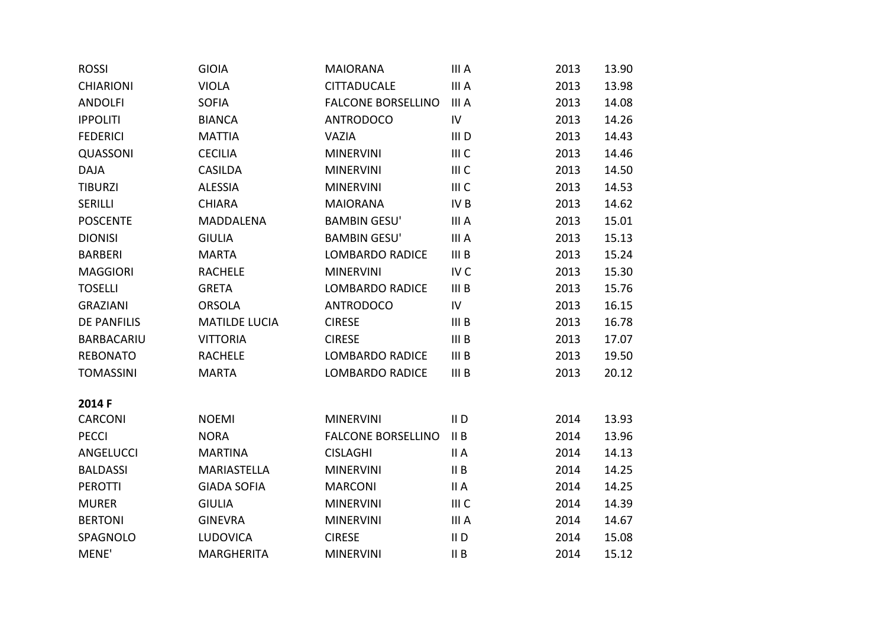| <b>ROSSI</b>       | <b>GIOIA</b>         | <b>MAIORANA</b>           | III A            | 2013 | 13.90 |
|--------------------|----------------------|---------------------------|------------------|------|-------|
| <b>CHIARIONI</b>   | <b>VIOLA</b>         | <b>CITTADUCALE</b>        | III A            | 2013 | 13.98 |
| <b>ANDOLFI</b>     | <b>SOFIA</b>         | <b>FALCONE BORSELLINO</b> | III A            | 2013 | 14.08 |
| <b>IPPOLITI</b>    | <b>BIANCA</b>        | <b>ANTRODOCO</b>          | IV               | 2013 | 14.26 |
| <b>FEDERICI</b>    | <b>MATTIA</b>        | <b>VAZIA</b>              | III D            | 2013 | 14.43 |
| QUASSONI           | <b>CECILIA</b>       | <b>MINERVINI</b>          | III C            | 2013 | 14.46 |
| <b>DAJA</b>        | <b>CASILDA</b>       | <b>MINERVINI</b>          | III C            | 2013 | 14.50 |
| <b>TIBURZI</b>     | <b>ALESSIA</b>       | <b>MINERVINI</b>          | III C            | 2013 | 14.53 |
| SERILLI            | <b>CHIARA</b>        | <b>MAIORANA</b>           | IV <sub>B</sub>  | 2013 | 14.62 |
| <b>POSCENTE</b>    | <b>MADDALENA</b>     | <b>BAMBIN GESU'</b>       | III A            | 2013 | 15.01 |
| <b>DIONISI</b>     | <b>GIULIA</b>        | <b>BAMBIN GESU'</b>       | III A            | 2013 | 15.13 |
| <b>BARBERI</b>     | <b>MARTA</b>         | <b>LOMBARDO RADICE</b>    | III <sub>B</sub> | 2013 | 15.24 |
| <b>MAGGIORI</b>    | <b>RACHELE</b>       | <b>MINERVINI</b>          | IV <sub>C</sub>  | 2013 | 15.30 |
| <b>TOSELLI</b>     | <b>GRETA</b>         | <b>LOMBARDO RADICE</b>    | III <sub>B</sub> | 2013 | 15.76 |
| <b>GRAZIANI</b>    | <b>ORSOLA</b>        | <b>ANTRODOCO</b>          | $\mathsf{IV}$    | 2013 | 16.15 |
| <b>DE PANFILIS</b> | <b>MATILDE LUCIA</b> | <b>CIRESE</b>             | III <sub>B</sub> | 2013 | 16.78 |
| <b>BARBACARIU</b>  | <b>VITTORIA</b>      | <b>CIRESE</b>             | III <sub>B</sub> | 2013 | 17.07 |
| <b>REBONATO</b>    | <b>RACHELE</b>       | <b>LOMBARDO RADICE</b>    | III <sub>B</sub> | 2013 | 19.50 |
| <b>TOMASSINI</b>   | <b>MARTA</b>         | <b>LOMBARDO RADICE</b>    | III <sub>B</sub> | 2013 | 20.12 |
|                    |                      |                           |                  |      |       |
| 2014 F             |                      |                           |                  |      |       |
| CARCONI            | <b>NOEMI</b>         | <b>MINERVINI</b>          | II <sub>D</sub>  | 2014 | 13.93 |
| <b>PECCI</b>       | <b>NORA</b>          | <b>FALCONE BORSELLINO</b> | II B             | 2014 | 13.96 |
| ANGELUCCI          | <b>MARTINA</b>       | <b>CISLAGHI</b>           | II A             | 2014 | 14.13 |
| <b>BALDASSI</b>    | <b>MARIASTELLA</b>   | <b>MINERVINI</b>          | II B             | 2014 | 14.25 |
| <b>PEROTTI</b>     | <b>GIADA SOFIA</b>   | <b>MARCONI</b>            | II A             | 2014 | 14.25 |
| <b>MURER</b>       | <b>GIULIA</b>        | <b>MINERVINI</b>          | III C            | 2014 | 14.39 |
| <b>BERTONI</b>     | <b>GINEVRA</b>       | <b>MINERVINI</b>          | III A            | 2014 | 14.67 |
| SPAGNOLO           | <b>LUDOVICA</b>      | <b>CIRESE</b>             | $II$ D           | 2014 | 15.08 |
| MENE'              | <b>MARGHERITA</b>    | <b>MINERVINI</b>          | II B             | 2014 | 15.12 |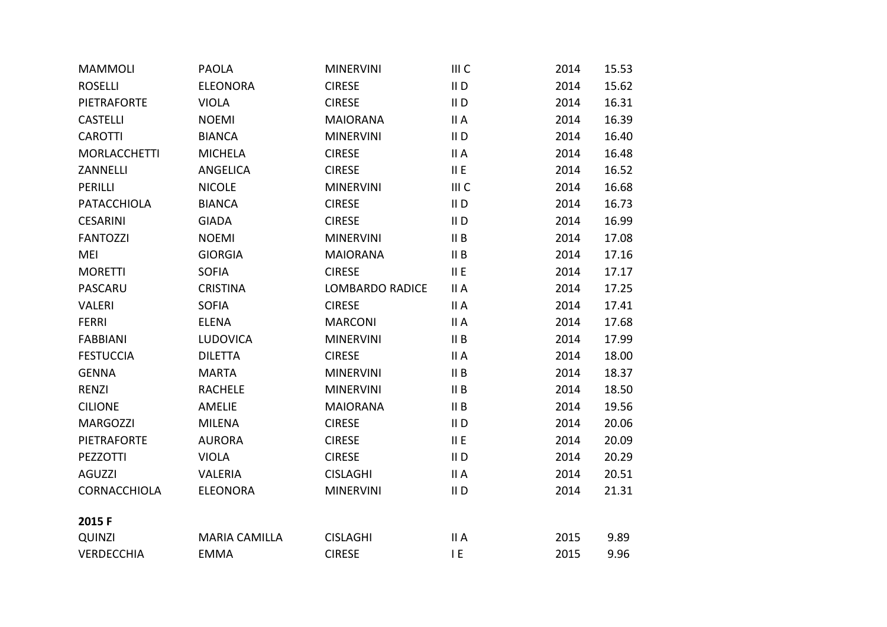| <b>MAMMOLI</b>      | <b>PAOLA</b>         | <b>MINERVINI</b>       | III C  | 2014 | 15.53 |
|---------------------|----------------------|------------------------|--------|------|-------|
| <b>ROSELLI</b>      | <b>ELEONORA</b>      | <b>CIRESE</b>          | $II$ D | 2014 | 15.62 |
| <b>PIETRAFORTE</b>  | <b>VIOLA</b>         | <b>CIRESE</b>          | $II$ D | 2014 | 16.31 |
| <b>CASTELLI</b>     | <b>NOEMI</b>         | <b>MAIORANA</b>        | II A   | 2014 | 16.39 |
| <b>CAROTTI</b>      | <b>BIANCA</b>        | <b>MINERVINI</b>       | $II$ D | 2014 | 16.40 |
| <b>MORLACCHETTI</b> | <b>MICHELA</b>       | <b>CIRESE</b>          | II A   | 2014 | 16.48 |
| ZANNELLI            | ANGELICA             | <b>CIRESE</b>          | II E   | 2014 | 16.52 |
| PERILLI             | <b>NICOLE</b>        | <b>MINERVINI</b>       | III C  | 2014 | 16.68 |
| PATACCHIOLA         | <b>BIANCA</b>        | <b>CIRESE</b>          | $II$ D | 2014 | 16.73 |
| <b>CESARINI</b>     | <b>GIADA</b>         | <b>CIRESE</b>          | $II$ D | 2014 | 16.99 |
| <b>FANTOZZI</b>     | <b>NOEMI</b>         | <b>MINERVINI</b>       | II B   | 2014 | 17.08 |
| <b>MEI</b>          | <b>GIORGIA</b>       | <b>MAIORANA</b>        | II B   | 2014 | 17.16 |
| <b>MORETTI</b>      | <b>SOFIA</b>         | <b>CIRESE</b>          | II E   | 2014 | 17.17 |
| PASCARU             | <b>CRISTINA</b>      | <b>LOMBARDO RADICE</b> | II A   | 2014 | 17.25 |
| <b>VALERI</b>       | <b>SOFIA</b>         | <b>CIRESE</b>          | II A   | 2014 | 17.41 |
| <b>FERRI</b>        | <b>ELENA</b>         | <b>MARCONI</b>         | II A   | 2014 | 17.68 |
| <b>FABBIANI</b>     | <b>LUDOVICA</b>      | <b>MINERVINI</b>       | II B   | 2014 | 17.99 |
| <b>FESTUCCIA</b>    | <b>DILETTA</b>       | <b>CIRESE</b>          | II A   | 2014 | 18.00 |
| <b>GENNA</b>        | <b>MARTA</b>         | <b>MINERVINI</b>       | II B   | 2014 | 18.37 |
| <b>RENZI</b>        | <b>RACHELE</b>       | <b>MINERVINI</b>       | II B   | 2014 | 18.50 |
| <b>CILIONE</b>      | AMELIE               | <b>MAIORANA</b>        | II B   | 2014 | 19.56 |
| <b>MARGOZZI</b>     | <b>MILENA</b>        | <b>CIRESE</b>          | $II$ D | 2014 | 20.06 |
| <b>PIETRAFORTE</b>  | <b>AURORA</b>        | <b>CIRESE</b>          | II E   | 2014 | 20.09 |
| PEZZOTTI            | <b>VIOLA</b>         | <b>CIRESE</b>          | $II$ D | 2014 | 20.29 |
| <b>AGUZZI</b>       | <b>VALERIA</b>       | <b>CISLAGHI</b>        | II A   | 2014 | 20.51 |
| CORNACCHIOLA        | <b>ELEONORA</b>      | <b>MINERVINI</b>       | $II$ D | 2014 | 21.31 |
| 2015F               |                      |                        |        |      |       |
| <b>QUINZI</b>       | <b>MARIA CAMILLA</b> | <b>CISLAGHI</b>        | II A   | 2015 | 9.89  |
| <b>VERDECCHIA</b>   | <b>EMMA</b>          | <b>CIRESE</b>          | E      | 2015 | 9.96  |
|                     |                      |                        |        |      |       |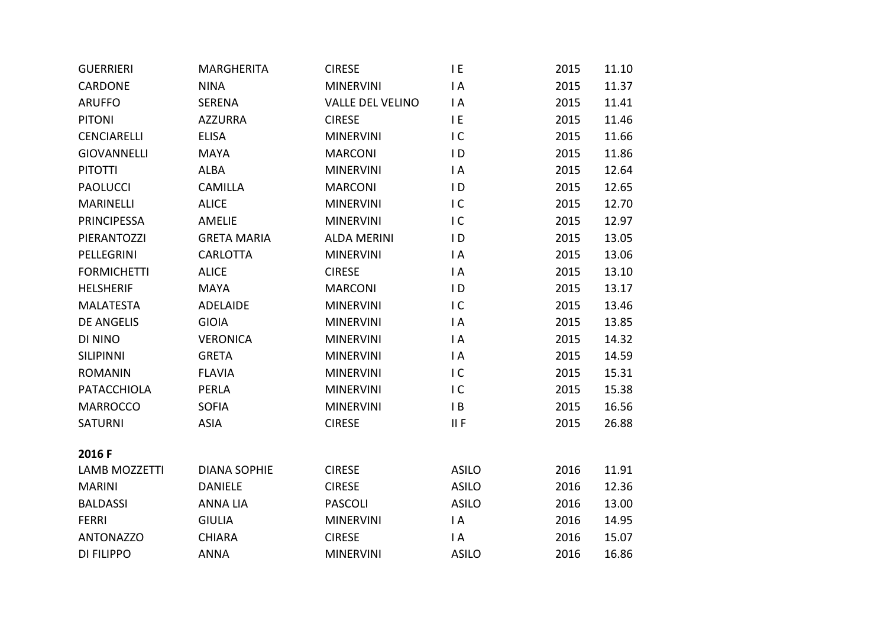| <b>GUERRIERI</b>     | <b>MARGHERITA</b>   | <b>CIRESE</b>           | I E            | 2015 | 11.10 |
|----------------------|---------------------|-------------------------|----------------|------|-------|
| CARDONE              | <b>NINA</b>         | <b>MINERVINI</b>        | $\mathsf{I}$ A | 2015 | 11.37 |
| <b>ARUFFO</b>        | <b>SERENA</b>       | <b>VALLE DEL VELINO</b> | $\mathsf{I}$ A | 2015 | 11.41 |
| <b>PITONI</b>        | <b>AZZURRA</b>      | <b>CIRESE</b>           | IE             | 2015 | 11.46 |
| <b>CENCIARELLI</b>   | <b>ELISA</b>        | <b>MINERVINI</b>        | IC             | 2015 | 11.66 |
| <b>GIOVANNELLI</b>   | <b>MAYA</b>         | <b>MARCONI</b>          | $\overline{D}$ | 2015 | 11.86 |
| <b>PITOTTI</b>       | <b>ALBA</b>         | <b>MINERVINI</b>        | $\overline{A}$ | 2015 | 12.64 |
| <b>PAOLUCCI</b>      | <b>CAMILLA</b>      | <b>MARCONI</b>          | $\overline{D}$ | 2015 | 12.65 |
| <b>MARINELLI</b>     | <b>ALICE</b>        | <b>MINERVINI</b>        | IC             | 2015 | 12.70 |
| <b>PRINCIPESSA</b>   | <b>AMELIE</b>       | <b>MINERVINI</b>        | IC             | 2015 | 12.97 |
| PIERANTOZZI          | <b>GRETA MARIA</b>  | <b>ALDA MERINI</b>      | $\overline{D}$ | 2015 | 13.05 |
| PELLEGRINI           | <b>CARLOTTA</b>     | <b>MINERVINI</b>        | $\mathsf{I}$ A | 2015 | 13.06 |
| <b>FORMICHETTI</b>   | <b>ALICE</b>        | <b>CIRESE</b>           | $\mathsf{I}$ A | 2015 | 13.10 |
| <b>HELSHERIF</b>     | <b>MAYA</b>         | <b>MARCONI</b>          | $\overline{D}$ | 2015 | 13.17 |
| <b>MALATESTA</b>     | <b>ADELAIDE</b>     | <b>MINERVINI</b>        | IC             | 2015 | 13.46 |
| <b>DE ANGELIS</b>    | <b>GIOIA</b>        | <b>MINERVINI</b>        | $\mathsf{I}$ A | 2015 | 13.85 |
| DI NINO              | <b>VERONICA</b>     | <b>MINERVINI</b>        | $\mathsf{I}$ A | 2015 | 14.32 |
| <b>SILIPINNI</b>     | <b>GRETA</b>        | <b>MINERVINI</b>        | $\mathsf{I}$ A | 2015 | 14.59 |
| <b>ROMANIN</b>       | <b>FLAVIA</b>       | <b>MINERVINI</b>        | IC             | 2015 | 15.31 |
| <b>PATACCHIOLA</b>   | <b>PERLA</b>        | <b>MINERVINI</b>        | IC             | 2015 | 15.38 |
| <b>MARROCCO</b>      | <b>SOFIA</b>        | <b>MINERVINI</b>        | $\mathsf{I}$ B | 2015 | 16.56 |
| <b>SATURNI</b>       | <b>ASIA</b>         | <b>CIRESE</b>           | II F           | 2015 | 26.88 |
|                      |                     |                         |                |      |       |
| 2016 F               |                     |                         |                |      |       |
| <b>LAMB MOZZETTI</b> | <b>DIANA SOPHIE</b> | <b>CIRESE</b>           | <b>ASILO</b>   | 2016 | 11.91 |
| <b>MARINI</b>        | <b>DANIELE</b>      | <b>CIRESE</b>           | <b>ASILO</b>   | 2016 | 12.36 |
| <b>BALDASSI</b>      | <b>ANNA LIA</b>     | <b>PASCOLI</b>          | <b>ASILO</b>   | 2016 | 13.00 |
| <b>FERRI</b>         | <b>GIULIA</b>       | <b>MINERVINI</b>        | $\mathsf{I}$ A | 2016 | 14.95 |
| <b>ANTONAZZO</b>     | <b>CHIARA</b>       | <b>CIRESE</b>           | $\mathsf{I}$ A | 2016 | 15.07 |
| <b>DI FILIPPO</b>    | <b>ANNA</b>         | <b>MINERVINI</b>        | <b>ASILO</b>   | 2016 | 16.86 |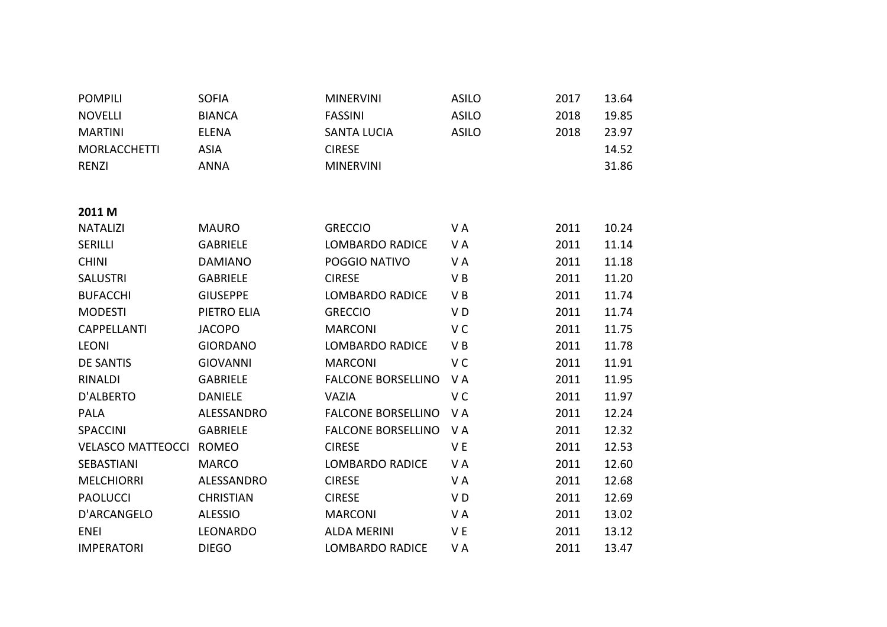| <b>POMPILI</b>           | <b>SOFIA</b>     | <b>MINERVINI</b>          | <b>ASILO</b>   | 2017 | 13.64 |
|--------------------------|------------------|---------------------------|----------------|------|-------|
| <b>NOVELLI</b>           | <b>BIANCA</b>    | <b>FASSINI</b>            | <b>ASILO</b>   | 2018 | 19.85 |
| <b>MARTINI</b>           | <b>ELENA</b>     | <b>SANTA LUCIA</b>        | <b>ASILO</b>   | 2018 | 23.97 |
| <b>MORLACCHETTI</b>      | <b>ASIA</b>      | <b>CIRESE</b>             |                |      | 14.52 |
| <b>RENZI</b>             | <b>ANNA</b>      | <b>MINERVINI</b>          |                |      | 31.86 |
|                          |                  |                           |                |      |       |
|                          |                  |                           |                |      |       |
| 2011 M                   |                  |                           |                |      |       |
| <b>NATALIZI</b>          | <b>MAURO</b>     | <b>GRECCIO</b>            | VA             | 2011 | 10.24 |
| <b>SERILLI</b>           | <b>GABRIELE</b>  | <b>LOMBARDO RADICE</b>    | VA             | 2011 | 11.14 |
| <b>CHINI</b>             | <b>DAMIANO</b>   | POGGIO NATIVO             | VA             | 2011 | 11.18 |
| <b>SALUSTRI</b>          | <b>GABRIELE</b>  | <b>CIRESE</b>             | VB             | 2011 | 11.20 |
| <b>BUFACCHI</b>          | <b>GIUSEPPE</b>  | <b>LOMBARDO RADICE</b>    | VB             | 2011 | 11.74 |
| <b>MODESTI</b>           | PIETRO ELIA      | <b>GRECCIO</b>            | VD             | 2011 | 11.74 |
| <b>CAPPELLANTI</b>       | <b>JACOPO</b>    | <b>MARCONI</b>            | V <sub>C</sub> | 2011 | 11.75 |
| <b>LEONI</b>             | <b>GIORDANO</b>  | <b>LOMBARDO RADICE</b>    | VB             | 2011 | 11.78 |
| <b>DE SANTIS</b>         | <b>GIOVANNI</b>  | <b>MARCONI</b>            | V <sub>C</sub> | 2011 | 11.91 |
| RINALDI                  | <b>GABRIELE</b>  | <b>FALCONE BORSELLINO</b> | VA             | 2011 | 11.95 |
| D'ALBERTO                | <b>DANIELE</b>   | <b>VAZIA</b>              | V <sub>C</sub> | 2011 | 11.97 |
| <b>PALA</b>              | ALESSANDRO       | <b>FALCONE BORSELLINO</b> | VA             | 2011 | 12.24 |
| <b>SPACCINI</b>          | <b>GABRIELE</b>  | <b>FALCONE BORSELLINO</b> | VA             | 2011 | 12.32 |
| <b>VELASCO MATTEOCCI</b> | <b>ROMEO</b>     | <b>CIRESE</b>             | V E            | 2011 | 12.53 |
| SEBASTIANI               | <b>MARCO</b>     | <b>LOMBARDO RADICE</b>    | VA             | 2011 | 12.60 |
| <b>MELCHIORRI</b>        | ALESSANDRO       | <b>CIRESE</b>             | VA             | 2011 | 12.68 |
| <b>PAOLUCCI</b>          | <b>CHRISTIAN</b> | <b>CIRESE</b>             | V <sub>D</sub> | 2011 | 12.69 |
| D'ARCANGELO              | <b>ALESSIO</b>   | <b>MARCONI</b>            | VA             | 2011 | 13.02 |
| <b>ENEI</b>              | LEONARDO         | <b>ALDA MERINI</b>        | V E            | 2011 | 13.12 |
| <b>IMPERATORI</b>        | <b>DIEGO</b>     | <b>LOMBARDO RADICE</b>    | V A            | 2011 | 13.47 |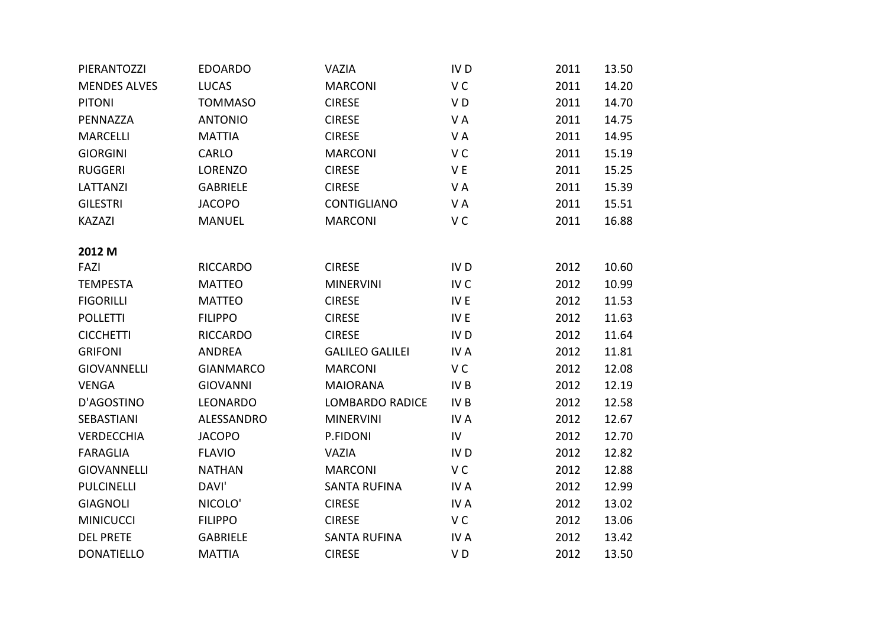| PIERANTOZZI         | <b>EDOARDO</b>   | <b>VAZIA</b>           | IV <sub>D</sub> | 2011 | 13.50 |
|---------------------|------------------|------------------------|-----------------|------|-------|
| <b>MENDES ALVES</b> | <b>LUCAS</b>     | <b>MARCONI</b>         | V <sub>C</sub>  | 2011 | 14.20 |
| <b>PITONI</b>       | <b>TOMMASO</b>   | <b>CIRESE</b>          | VD              | 2011 | 14.70 |
| PENNAZZA            | <b>ANTONIO</b>   | <b>CIRESE</b>          | VA              | 2011 | 14.75 |
| <b>MARCELLI</b>     | <b>MATTIA</b>    | <b>CIRESE</b>          | VA              | 2011 | 14.95 |
| <b>GIORGINI</b>     | CARLO            | <b>MARCONI</b>         | V <sub>C</sub>  | 2011 | 15.19 |
| <b>RUGGERI</b>      | <b>LORENZO</b>   | <b>CIRESE</b>          | VE              | 2011 | 15.25 |
| <b>LATTANZI</b>     | <b>GABRIELE</b>  | <b>CIRESE</b>          | VA              | 2011 | 15.39 |
| <b>GILESTRI</b>     | <b>JACOPO</b>    | CONTIGLIANO            | VA              | 2011 | 15.51 |
| <b>KAZAZI</b>       | <b>MANUEL</b>    | <b>MARCONI</b>         | V <sub>C</sub>  | 2011 | 16.88 |
|                     |                  |                        |                 |      |       |
| 2012 M              |                  |                        |                 |      |       |
| FAZI                | <b>RICCARDO</b>  | <b>CIRESE</b>          | IV <sub>D</sub> | 2012 | 10.60 |
| <b>TEMPESTA</b>     | <b>MATTEO</b>    | <b>MINERVINI</b>       | IV <sub>C</sub> | 2012 | 10.99 |
| <b>FIGORILLI</b>    | <b>MATTEO</b>    | <b>CIRESE</b>          | IV E            | 2012 | 11.53 |
| <b>POLLETTI</b>     | <b>FILIPPO</b>   | <b>CIRESE</b>          | IV E            | 2012 | 11.63 |
| <b>CICCHETTI</b>    | <b>RICCARDO</b>  | <b>CIRESE</b>          | IV <sub>D</sub> | 2012 | 11.64 |
| <b>GRIFONI</b>      | <b>ANDREA</b>    | <b>GALILEO GALILEI</b> | IV A            | 2012 | 11.81 |
| <b>GIOVANNELLI</b>  | <b>GIANMARCO</b> | <b>MARCONI</b>         | V C             | 2012 | 12.08 |
| <b>VENGA</b>        | <b>GIOVANNI</b>  | <b>MAIORANA</b>        | IV <sub>B</sub> | 2012 | 12.19 |
| D'AGOSTINO          | LEONARDO         | <b>LOMBARDO RADICE</b> | IV <sub>B</sub> | 2012 | 12.58 |
| SEBASTIANI          | ALESSANDRO       | <b>MINERVINI</b>       | IV A            | 2012 | 12.67 |
| <b>VERDECCHIA</b>   | <b>JACOPO</b>    | P.FIDONI               | IV              | 2012 | 12.70 |
| <b>FARAGLIA</b>     | <b>FLAVIO</b>    | <b>VAZIA</b>           | IV <sub>D</sub> | 2012 | 12.82 |
| <b>GIOVANNELLI</b>  | <b>NATHAN</b>    | <b>MARCONI</b>         | V <sub>C</sub>  | 2012 | 12.88 |
| <b>PULCINELLI</b>   | DAVI'            | <b>SANTA RUFINA</b>    | IV A            | 2012 | 12.99 |
| <b>GIAGNOLI</b>     | NICOLO'          | <b>CIRESE</b>          | IV A            | 2012 | 13.02 |
| <b>MINICUCCI</b>    | <b>FILIPPO</b>   | <b>CIRESE</b>          | V <sub>C</sub>  | 2012 | 13.06 |
| <b>DEL PRETE</b>    | <b>GABRIELE</b>  | <b>SANTA RUFINA</b>    | IV A            | 2012 | 13.42 |
| <b>DONATIELLO</b>   | <b>MATTIA</b>    | <b>CIRESE</b>          | V <sub>D</sub>  | 2012 | 13.50 |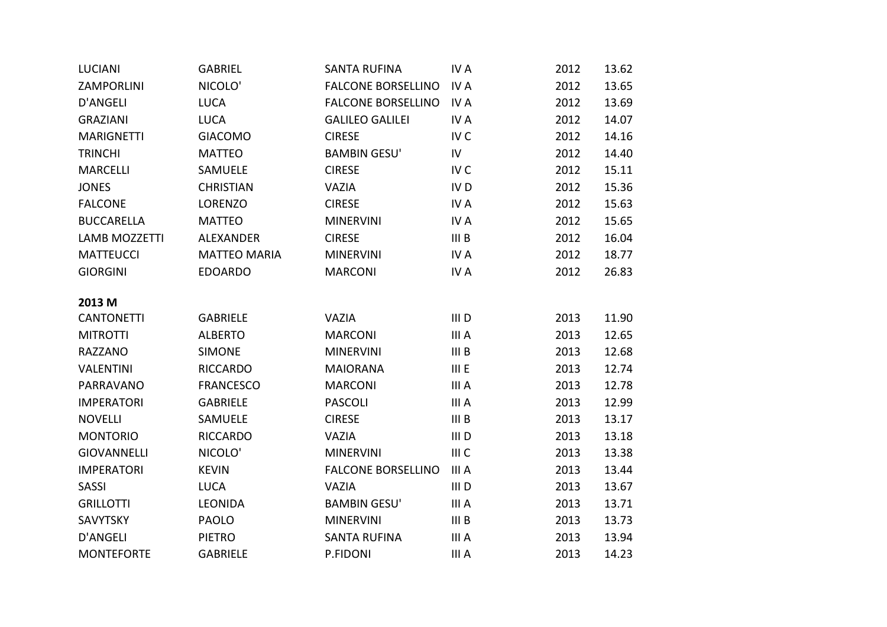| <b>LUCIANI</b>       | <b>GABRIEL</b>      | <b>SANTA RUFINA</b>       | IV A             | 2012 | 13.62 |
|----------------------|---------------------|---------------------------|------------------|------|-------|
| ZAMPORLINI           | NICOLO'             | <b>FALCONE BORSELLINO</b> | IV A             | 2012 | 13.65 |
| <b>D'ANGELI</b>      | <b>LUCA</b>         | <b>FALCONE BORSELLINO</b> | IV A             | 2012 | 13.69 |
| <b>GRAZIANI</b>      | <b>LUCA</b>         | <b>GALILEO GALILEI</b>    | IV A             | 2012 | 14.07 |
| <b>MARIGNETTI</b>    | <b>GIACOMO</b>      | <b>CIRESE</b>             | IV <sub>C</sub>  | 2012 | 14.16 |
| <b>TRINCHI</b>       | <b>MATTEO</b>       | <b>BAMBIN GESU'</b>       | IV               | 2012 | 14.40 |
| <b>MARCELLI</b>      | SAMUELE             | <b>CIRESE</b>             | IV <sub>C</sub>  | 2012 | 15.11 |
| <b>JONES</b>         | <b>CHRISTIAN</b>    | <b>VAZIA</b>              | IV <sub>D</sub>  | 2012 | 15.36 |
| <b>FALCONE</b>       | <b>LORENZO</b>      | <b>CIRESE</b>             | IV A             | 2012 | 15.63 |
| <b>BUCCARELLA</b>    | <b>MATTEO</b>       | <b>MINERVINI</b>          | IV A             | 2012 | 15.65 |
| <b>LAMB MOZZETTI</b> | <b>ALEXANDER</b>    | <b>CIRESE</b>             | III <sub>B</sub> | 2012 | 16.04 |
| <b>MATTEUCCI</b>     | <b>MATTEO MARIA</b> | <b>MINERVINI</b>          | IV A             | 2012 | 18.77 |
| <b>GIORGINI</b>      | <b>EDOARDO</b>      | <b>MARCONI</b>            | IV A             | 2012 | 26.83 |
|                      |                     |                           |                  |      |       |
| 2013 M               |                     |                           |                  |      |       |
| <b>CANTONETTI</b>    | <b>GABRIELE</b>     | <b>VAZIA</b>              | III <sub>D</sub> | 2013 | 11.90 |
| <b>MITROTTI</b>      | <b>ALBERTO</b>      | <b>MARCONI</b>            | III A            | 2013 | 12.65 |
| <b>RAZZANO</b>       | <b>SIMONE</b>       | <b>MINERVINI</b>          | III B            | 2013 | 12.68 |
| <b>VALENTINI</b>     | <b>RICCARDO</b>     | <b>MAIORANA</b>           | III E            | 2013 | 12.74 |
| PARRAVANO            | <b>FRANCESCO</b>    | <b>MARCONI</b>            | III A            | 2013 | 12.78 |
| <b>IMPERATORI</b>    | <b>GABRIELE</b>     | <b>PASCOLI</b>            | III A            | 2013 | 12.99 |
| <b>NOVELLI</b>       | SAMUELE             | <b>CIRESE</b>             | III <sub>B</sub> | 2013 | 13.17 |
| <b>MONTORIO</b>      | <b>RICCARDO</b>     | <b>VAZIA</b>              | III <sub>D</sub> | 2013 | 13.18 |
| <b>GIOVANNELLI</b>   | NICOLO'             | <b>MINERVINI</b>          | III C            | 2013 | 13.38 |
| <b>IMPERATORI</b>    | <b>KEVIN</b>        | <b>FALCONE BORSELLINO</b> | III A            | 2013 | 13.44 |
| <b>SASSI</b>         | <b>LUCA</b>         | <b>VAZIA</b>              | III <sub>D</sub> | 2013 | 13.67 |
| <b>GRILLOTTI</b>     | <b>LEONIDA</b>      | <b>BAMBIN GESU'</b>       | III A            | 2013 | 13.71 |
| SAVYTSKY             | <b>PAOLO</b>        | <b>MINERVINI</b>          | III <sub>B</sub> | 2013 | 13.73 |
| <b>D'ANGELI</b>      | <b>PIETRO</b>       | <b>SANTA RUFINA</b>       | III A            | 2013 | 13.94 |
| <b>MONTEFORTE</b>    | <b>GABRIELE</b>     | P.FIDONI                  | III A            | 2013 | 14.23 |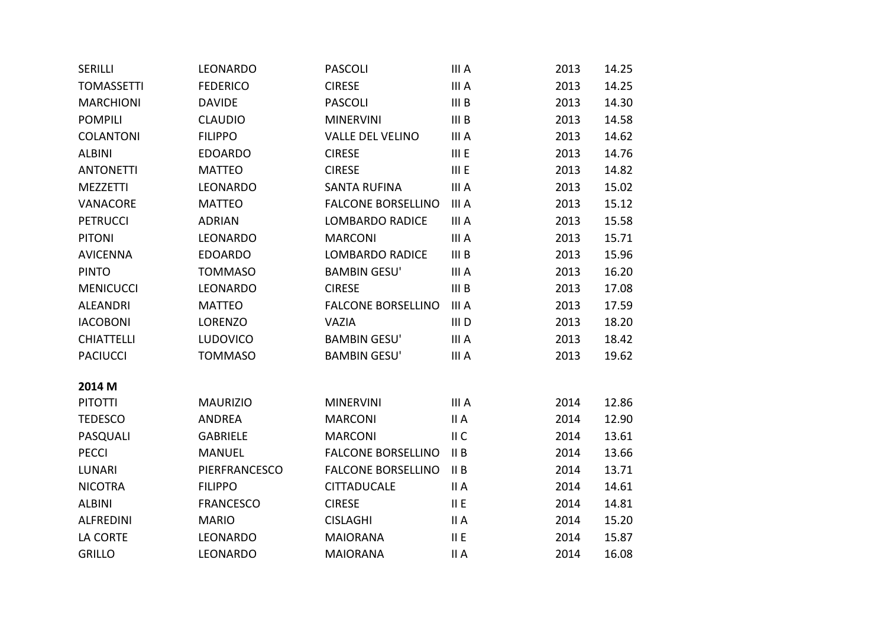| <b>SERILLI</b>    | LEONARDO         | <b>PASCOLI</b>            | III A            | 2013 | 14.25 |
|-------------------|------------------|---------------------------|------------------|------|-------|
| <b>TOMASSETTI</b> | <b>FEDERICO</b>  | <b>CIRESE</b>             | III A            | 2013 | 14.25 |
| <b>MARCHIONI</b>  | <b>DAVIDE</b>    | <b>PASCOLI</b>            | III B            | 2013 | 14.30 |
| <b>POMPILI</b>    | <b>CLAUDIO</b>   | <b>MINERVINI</b>          | III <sub>B</sub> | 2013 | 14.58 |
| <b>COLANTONI</b>  | <b>FILIPPO</b>   | <b>VALLE DEL VELINO</b>   | III A            | 2013 | 14.62 |
| <b>ALBINI</b>     | <b>EDOARDO</b>   | <b>CIRESE</b>             | III E            | 2013 | 14.76 |
| <b>ANTONETTI</b>  | <b>MATTEO</b>    | <b>CIRESE</b>             | III E            | 2013 | 14.82 |
| <b>MEZZETTI</b>   | LEONARDO         | <b>SANTA RUFINA</b>       | III A            | 2013 | 15.02 |
| VANACORE          | <b>MATTEO</b>    | <b>FALCONE BORSELLINO</b> | III A            | 2013 | 15.12 |
| <b>PETRUCCI</b>   | <b>ADRIAN</b>    | <b>LOMBARDO RADICE</b>    | III A            | 2013 | 15.58 |
| <b>PITONI</b>     | LEONARDO         | <b>MARCONI</b>            | III A            | 2013 | 15.71 |
| <b>AVICENNA</b>   | <b>EDOARDO</b>   | <b>LOMBARDO RADICE</b>    | III <sub>B</sub> | 2013 | 15.96 |
| <b>PINTO</b>      | <b>TOMMASO</b>   | <b>BAMBIN GESU'</b>       | III A            | 2013 | 16.20 |
| <b>MENICUCCI</b>  | LEONARDO         | <b>CIRESE</b>             | III <sub>B</sub> | 2013 | 17.08 |
| <b>ALEANDRI</b>   | <b>MATTEO</b>    | <b>FALCONE BORSELLINO</b> | III A            | 2013 | 17.59 |
| <b>IACOBONI</b>   | <b>LORENZO</b>   | <b>VAZIA</b>              | III <sub>D</sub> | 2013 | 18.20 |
| <b>CHIATTELLI</b> | <b>LUDOVICO</b>  | <b>BAMBIN GESU'</b>       | III A            | 2013 | 18.42 |
| <b>PACIUCCI</b>   | <b>TOMMASO</b>   | <b>BAMBIN GESU'</b>       | III A            | 2013 | 19.62 |
|                   |                  |                           |                  |      |       |
| 2014 M            |                  |                           |                  |      |       |
| <b>PITOTTI</b>    | <b>MAURIZIO</b>  | <b>MINERVINI</b>          | III A            | 2014 | 12.86 |
| <b>TEDESCO</b>    | <b>ANDREA</b>    | <b>MARCONI</b>            | II A             | 2014 | 12.90 |
| PASQUALI          | <b>GABRIELE</b>  | <b>MARCONI</b>            | II C             | 2014 | 13.61 |
| <b>PECCI</b>      | <b>MANUEL</b>    | <b>FALCONE BORSELLINO</b> | II B             | 2014 | 13.66 |
| <b>LUNARI</b>     | PIERFRANCESCO    | <b>FALCONE BORSELLINO</b> | II B             | 2014 | 13.71 |
| <b>NICOTRA</b>    | <b>FILIPPO</b>   | <b>CITTADUCALE</b>        | II A             | 2014 | 14.61 |
| <b>ALBINI</b>     | <b>FRANCESCO</b> | <b>CIRESE</b>             | II E             | 2014 | 14.81 |
| <b>ALFREDINI</b>  | <b>MARIO</b>     | <b>CISLAGHI</b>           | II A             | 2014 | 15.20 |
| LA CORTE          | LEONARDO         | <b>MAIORANA</b>           | II E             | 2014 | 15.87 |
| <b>GRILLO</b>     | LEONARDO         | <b>MAIORANA</b>           | II A             | 2014 | 16.08 |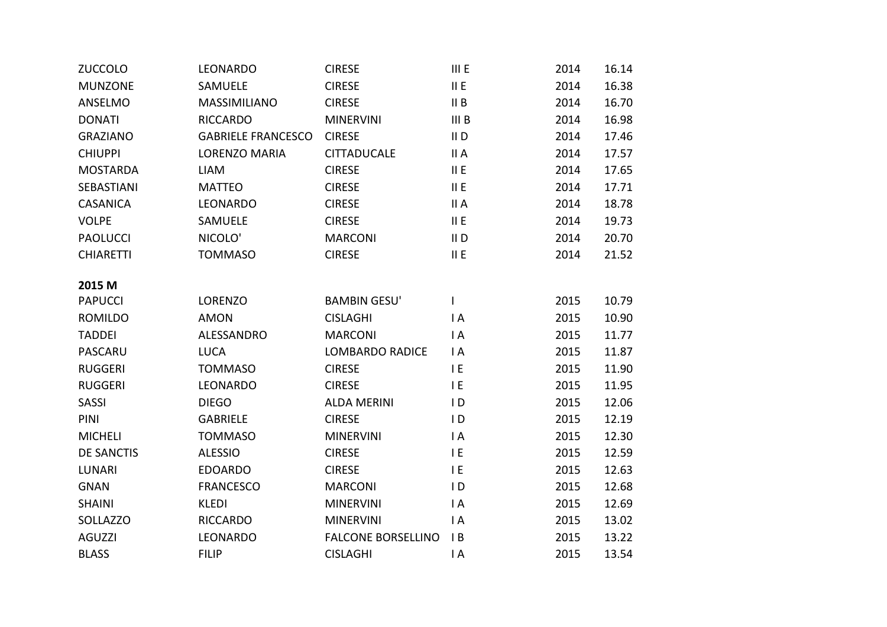| <b>ZUCCOLO</b>    | LEONARDO                  | <b>CIRESE</b>             | III E            | 2014 | 16.14 |
|-------------------|---------------------------|---------------------------|------------------|------|-------|
| <b>MUNZONE</b>    | SAMUELE                   | <b>CIRESE</b>             | II E             | 2014 | 16.38 |
| ANSELMO           | MASSIMILIANO              | <b>CIRESE</b>             | II B             | 2014 | 16.70 |
| <b>DONATI</b>     | <b>RICCARDO</b>           | <b>MINERVINI</b>          | III <sub>B</sub> | 2014 | 16.98 |
| <b>GRAZIANO</b>   | <b>GABRIELE FRANCESCO</b> | <b>CIRESE</b>             | II D             | 2014 | 17.46 |
| <b>CHIUPPI</b>    | <b>LORENZO MARIA</b>      | <b>CITTADUCALE</b>        | II A             | 2014 | 17.57 |
| <b>MOSTARDA</b>   | <b>LIAM</b>               | <b>CIRESE</b>             | II E             | 2014 | 17.65 |
| SEBASTIANI        | <b>MATTEO</b>             | <b>CIRESE</b>             | II E             | 2014 | 17.71 |
| <b>CASANICA</b>   | LEONARDO                  | <b>CIRESE</b>             | II A             | 2014 | 18.78 |
| <b>VOLPE</b>      | SAMUELE                   | <b>CIRESE</b>             | II E             | 2014 | 19.73 |
| <b>PAOLUCCI</b>   | NICOLO'                   | <b>MARCONI</b>            | II D             | 2014 | 20.70 |
| <b>CHIARETTI</b>  | <b>TOMMASO</b>            | <b>CIRESE</b>             | II E             | 2014 | 21.52 |
|                   |                           |                           |                  |      |       |
| 2015 M            |                           |                           |                  |      |       |
| <b>PAPUCCI</b>    | <b>LORENZO</b>            | <b>BAMBIN GESU'</b>       | L                | 2015 | 10.79 |
| <b>ROMILDO</b>    | <b>AMON</b>               | <b>CISLAGHI</b>           | I A              | 2015 | 10.90 |
| <b>TADDEI</b>     | ALESSANDRO                | <b>MARCONI</b>            | $\mathsf{I}$ A   | 2015 | 11.77 |
| <b>PASCARU</b>    | <b>LUCA</b>               | <b>LOMBARDO RADICE</b>    | $\mathsf{I}$ A   | 2015 | 11.87 |
| <b>RUGGERI</b>    | <b>TOMMASO</b>            | <b>CIRESE</b>             | IE               | 2015 | 11.90 |
| <b>RUGGERI</b>    | LEONARDO                  | <b>CIRESE</b>             | I E              | 2015 | 11.95 |
| <b>SASSI</b>      | <b>DIEGO</b>              | <b>ALDA MERINI</b>        | ID               | 2015 | 12.06 |
| PINI              | <b>GABRIELE</b>           | <b>CIRESE</b>             | ID               | 2015 | 12.19 |
| <b>MICHELI</b>    | <b>TOMMASO</b>            | <b>MINERVINI</b>          | IA               | 2015 | 12.30 |
| <b>DE SANCTIS</b> | <b>ALESSIO</b>            | <b>CIRESE</b>             | I E              | 2015 | 12.59 |
| <b>LUNARI</b>     | <b>EDOARDO</b>            | <b>CIRESE</b>             | I E              | 2015 | 12.63 |
| <b>GNAN</b>       | <b>FRANCESCO</b>          | <b>MARCONI</b>            | ID               | 2015 | 12.68 |
| <b>SHAINI</b>     | <b>KLEDI</b>              | <b>MINERVINI</b>          | I A              | 2015 | 12.69 |
| SOLLAZZO          | <b>RICCARDO</b>           | <b>MINERVINI</b>          | $\mathsf{I}$ A   | 2015 | 13.02 |
| <b>AGUZZI</b>     | <b>LEONARDO</b>           | <b>FALCONE BORSELLINO</b> | B                | 2015 | 13.22 |
| <b>BLASS</b>      | <b>FILIP</b>              | <b>CISLAGHI</b>           | $\mathsf{I}$ A   | 2015 | 13.54 |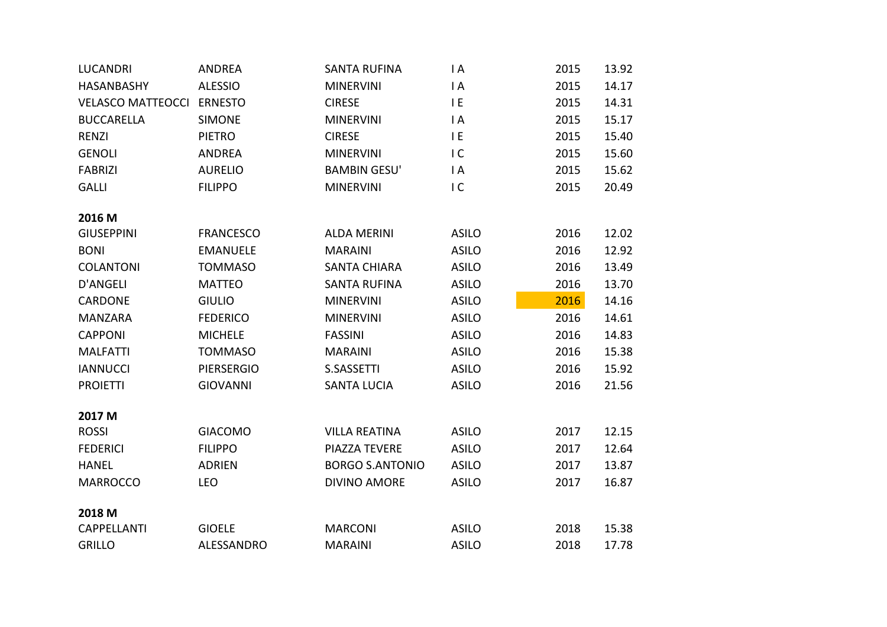| <b>LUCANDRI</b>                        | <b>ANDREA</b>     | <b>SANTA RUFINA</b>    | I A            | 2015 | 13.92 |
|----------------------------------------|-------------------|------------------------|----------------|------|-------|
| <b>HASANBASHY</b>                      | <b>ALESSIO</b>    | <b>MINERVINI</b>       | IA             | 2015 | 14.17 |
| <b>VELASCO MATTEOCCI</b>               | <b>ERNESTO</b>    | <b>CIRESE</b>          | I E            | 2015 | 14.31 |
| <b>BUCCARELLA</b>                      | <b>SIMONE</b>     | <b>MINERVINI</b>       | IA             | 2015 | 15.17 |
| <b>RENZI</b>                           | <b>PIETRO</b>     | <b>CIRESE</b>          | I E            | 2015 | 15.40 |
| <b>GENOLI</b>                          | <b>ANDREA</b>     | <b>MINERVINI</b>       | IC             | 2015 | 15.60 |
| <b>FABRIZI</b>                         | <b>AURELIO</b>    | <b>BAMBIN GESU'</b>    | $\mathsf{I}$ A | 2015 | 15.62 |
| <b>GALLI</b>                           | <b>FILIPPO</b>    | <b>MINERVINI</b>       | IC             | 2015 | 20.49 |
|                                        |                   |                        |                |      |       |
| 2016 <sub>M</sub><br><b>GIUSEPPINI</b> | <b>FRANCESCO</b>  | <b>ALDA MERINI</b>     | <b>ASILO</b>   | 2016 | 12.02 |
| <b>BONI</b>                            | <b>EMANUELE</b>   | <b>MARAINI</b>         | <b>ASILO</b>   | 2016 | 12.92 |
|                                        |                   |                        |                |      |       |
| <b>COLANTONI</b>                       | <b>TOMMASO</b>    | <b>SANTA CHIARA</b>    | <b>ASILO</b>   | 2016 | 13.49 |
| <b>D'ANGELI</b>                        | <b>MATTEO</b>     | <b>SANTA RUFINA</b>    | <b>ASILO</b>   | 2016 | 13.70 |
| CARDONE                                | <b>GIULIO</b>     | <b>MINERVINI</b>       | <b>ASILO</b>   | 2016 | 14.16 |
| <b>MANZARA</b>                         | <b>FEDERICO</b>   | <b>MINERVINI</b>       | <b>ASILO</b>   | 2016 | 14.61 |
| <b>CAPPONI</b>                         | <b>MICHELE</b>    | <b>FASSINI</b>         | <b>ASILO</b>   | 2016 | 14.83 |
| <b>MALFATTI</b>                        | <b>TOMMASO</b>    | <b>MARAINI</b>         | <b>ASILO</b>   | 2016 | 15.38 |
| <b>IANNUCCI</b>                        | <b>PIERSERGIO</b> | S.SASSETTI             | <b>ASILO</b>   | 2016 | 15.92 |
| <b>PROIETTI</b>                        | <b>GIOVANNI</b>   | <b>SANTA LUCIA</b>     | <b>ASILO</b>   | 2016 | 21.56 |
| 2017 M                                 |                   |                        |                |      |       |
| <b>ROSSI</b>                           | <b>GIACOMO</b>    | <b>VILLA REATINA</b>   | <b>ASILO</b>   | 2017 | 12.15 |
| <b>FEDERICI</b>                        | <b>FILIPPO</b>    | PIAZZA TEVERE          | <b>ASILO</b>   | 2017 | 12.64 |
|                                        |                   |                        |                |      |       |
| <b>HANEL</b>                           | <b>ADRIEN</b>     | <b>BORGO S.ANTONIO</b> | <b>ASILO</b>   | 2017 | 13.87 |
| <b>MARROCCO</b>                        | <b>LEO</b>        | <b>DIVINO AMORE</b>    | <b>ASILO</b>   | 2017 | 16.87 |
| 2018 <sub>M</sub>                      |                   |                        |                |      |       |
| <b>CAPPELLANTI</b>                     | <b>GIOELE</b>     | <b>MARCONI</b>         | <b>ASILO</b>   | 2018 | 15.38 |
| <b>GRILLO</b>                          | <b>ALESSANDRO</b> | <b>MARAINI</b>         | <b>ASILO</b>   | 2018 | 17.78 |